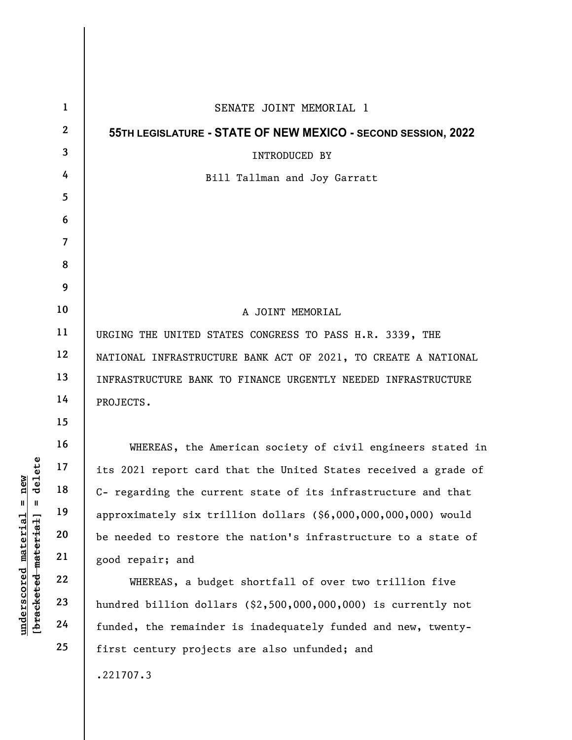| elete<br><b>e</b> w<br>디<br>ರ<br>Ⅱ  <br>H<br>underscored material<br>[bracketed material] | $\mathbf{1}$            | SENATE JOINT MEMORIAL 1                                         |
|-------------------------------------------------------------------------------------------|-------------------------|-----------------------------------------------------------------|
|                                                                                           | $\overline{2}$          | 55TH LEGISLATURE - STATE OF NEW MEXICO - SECOND SESSION, 2022   |
|                                                                                           | $\overline{\mathbf{3}}$ | <b>INTRODUCED BY</b>                                            |
|                                                                                           | 4                       | Bill Tallman and Joy Garratt                                    |
|                                                                                           | 5                       |                                                                 |
|                                                                                           | 6                       |                                                                 |
|                                                                                           | $\overline{7}$          |                                                                 |
|                                                                                           | 8                       |                                                                 |
|                                                                                           | 9                       |                                                                 |
|                                                                                           | 10                      | A JOINT MEMORIAL                                                |
|                                                                                           | 11                      | URGING THE UNITED STATES CONGRESS TO PASS H.R. 3339, THE        |
|                                                                                           | 12                      | NATIONAL INFRASTRUCTURE BANK ACT OF 2021, TO CREATE A NATIONAL  |
|                                                                                           | 13                      | INFRASTRUCTURE BANK TO FINANCE URGENTLY NEEDED INFRASTRUCTURE   |
|                                                                                           | 14                      | PROJECTS.                                                       |
|                                                                                           | 15                      |                                                                 |
|                                                                                           | 16                      | WHEREAS, the American society of civil engineers stated in      |
|                                                                                           | 17                      | its 2021 report card that the United States received a grade of |
|                                                                                           | $18\,$                  | C- regarding the current state of its infrastructure and that   |
|                                                                                           | 19                      | approximately six trillion dollars (\$6,000,000,000,000) would  |
|                                                                                           | 20                      | be needed to restore the nation's infrastructure to a state of  |
|                                                                                           | 21                      | good repair; and                                                |
|                                                                                           | 22                      | WHEREAS, a budget shortfall of over two trillion five           |
|                                                                                           | 23                      | hundred billion dollars $(2,500,000,000,000)$ is currently not  |
|                                                                                           | 24                      | funded, the remainder is inadequately funded and new, twenty-   |
|                                                                                           | 25                      | first century projects are also unfunded; and                   |
|                                                                                           |                         | .221707.3                                                       |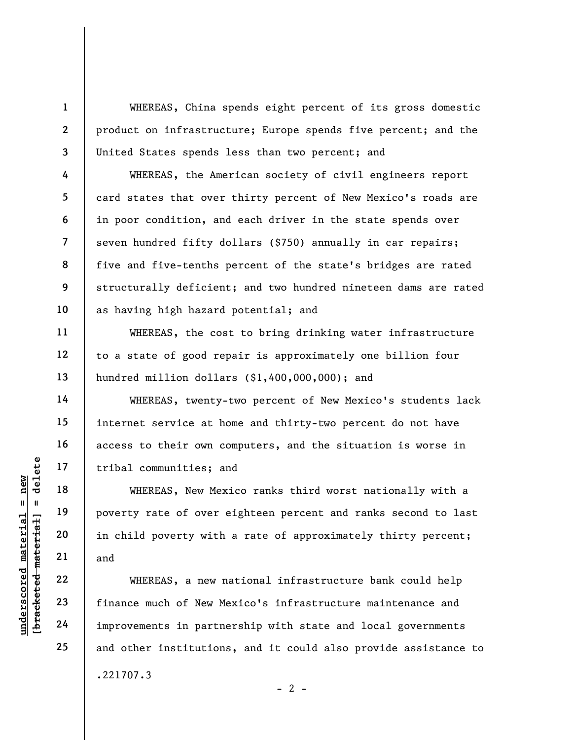WHEREAS, China spends eight percent of its gross domestic product on infrastructure; Europe spends five percent; and the United States spends less than two percent; and

WHEREAS, the American society of civil engineers report card states that over thirty percent of New Mexico's roads are in poor condition, and each driver in the state spends over seven hundred fifty dollars (\$750) annually in car repairs; five and five-tenths percent of the state's bridges are rated structurally deficient; and two hundred nineteen dams are rated as having high hazard potential; and

WHEREAS, the cost to bring drinking water infrastructure to a state of good repair is approximately one billion four hundred million dollars (\$1,400,000,000); and

WHEREAS, twenty-two percent of New Mexico's students lack internet service at home and thirty-two percent do not have access to their own computers, and the situation is worse in tribal communities; and

UNEREAS, New Merecommunities; a<br>  $U = \begin{bmatrix} 1 & 1 & 1 & 1 \\ 1 & 1 & 1 & 1 \\ 1 & 1 & 1 & 1 \\ 1 & 1 & 1 & 1 \\ 1 & 1 & 1 & 1 \\ 1 & 1 & 1 & 1 \\ 1 & 1 & 1 & 1 \\ 1 & 1 & 1 & 1 \\ 1 & 1 & 1 & 1 \\ 1 & 1 & 1 & 1 \\ 1 & 1 & 1 & 1 \\ 1 & 1 & 1 & 1 \\ 1 & 1 & 1 & 1 \\ 1 & 1 & 1 & 1 \\ 1 & 1 & 1 & 1 \\$ WHEREAS, New Mexico ranks third worst nationally with a poverty rate of over eighteen percent and ranks second to last in child poverty with a rate of approximately thirty percent; and

WHEREAS, a new national infrastructure bank could help finance much of New Mexico's infrastructure maintenance and improvements in partnership with state and local governments and other institutions, and it could also provide assistance to .221707.3

 $- 2 -$ 

1

2

3

4

5

6

7

8

9

10

11

12

13

14

15

16

17

18

19

20

21

22

23

24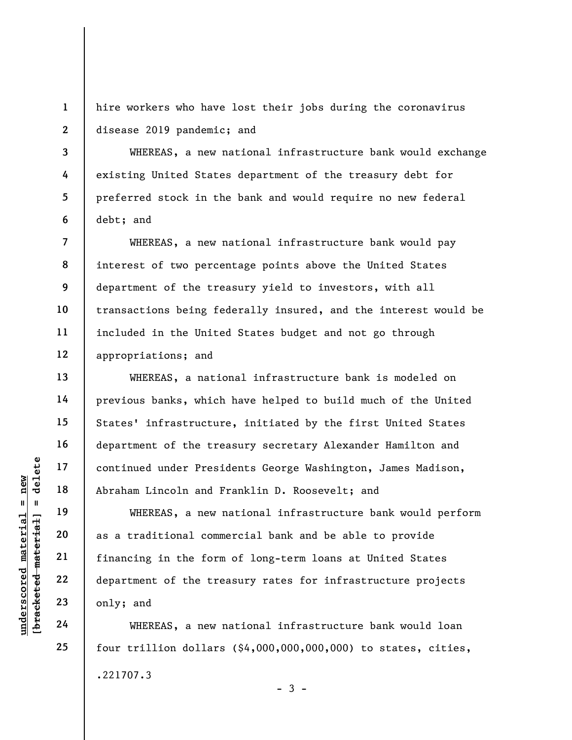1 2 hire workers who have lost their jobs during the coronavirus disease 2019 pandemic; and

WHEREAS, a new national infrastructure bank would exchange existing United States department of the treasury debt for preferred stock in the bank and would require no new federal debt; and

WHEREAS, a new national infrastructure bank would pay interest of two percentage points above the United States department of the treasury yield to investors, with all transactions being federally insured, and the interest would be included in the United States budget and not go through appropriations; and

WHEREAS, a national infrastructure bank is modeled on previous banks, which have helped to build much of the United States' infrastructure, initiated by the first United States department of the treasury secretary Alexander Hamilton and continued under Presidents George Washington, James Madison, Abraham Lincoln and Franklin D. Roosevelt; and

underscored material = new [bracketed material] = delete WHEREAS, a new national infrastructure bank would perform as a traditional commercial bank and be able to provide financing in the form of long-term loans at United States department of the treasury rates for infrastructure projects only; and

WHEREAS, a new national infrastructure bank would loan four trillion dollars (\$4,000,000,000,000) to states, cities, .221707.3  $-3 -$ 

3

4

5

6

7

8

9

10

11

12

13

14

15

16

17

18

19

20

21

22

23

24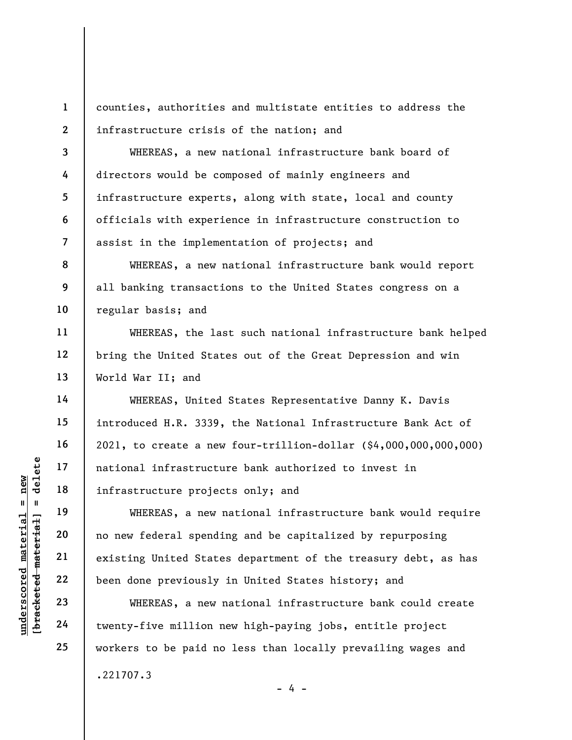1 2 counties, authorities and multistate entities to address the infrastructure crisis of the nation; and

WHEREAS, a new national infrastructure bank board of directors would be composed of mainly engineers and infrastructure experts, along with state, local and county officials with experience in infrastructure construction to assist in the implementation of projects; and

WHEREAS, a new national infrastructure bank would report all banking transactions to the United States congress on a regular basis; and

WHEREAS, the last such national infrastructure bank helped bring the United States out of the Great Depression and win World War II; and

WHEREAS, United States Representative Danny K. Davis introduced H.R. 3339, the National Infrastructure Bank Act of 2021, to create a new four-trillion-dollar (\$4,000,000,000,000) national infrastructure bank authorized to invest in infrastructure projects only; and

under 17<br>
= 18<br>
= 19<br>
= 19<br>
= 19<br>
= 19<br>
= 19<br>
= 19<br>
= 19<br>
= 19<br>
= 19<br>
= 19<br>
= 19<br>
= 19<br>
= 19<br>
= 19<br>
= 19<br>
= 19<br>
= 19<br>
= 19<br>
= 19<br>
= 19<br>
= 19<br>
= 19<br>
= 19<br>
= 19<br>
= 19<br>
= 19<br>
= 19<br>
= 19<br>
= 19<br>
= 19<br>
= 19<br>
= 19<br>
= 19<br>
= 19<br>
= WHEREAS, a new national infrastructure bank would require no new federal spending and be capitalized by repurposing existing United States department of the treasury debt, as has been done previously in United States history; and

WHEREAS, a new national infrastructure bank could create twenty-five million new high-paying jobs, entitle project workers to be paid no less than locally prevailing wages and

- 4 -

.221707.3

3

4

5

6

7

8

9

10

11

12

13

14

15

16

17

18

19

20

21

22

23

24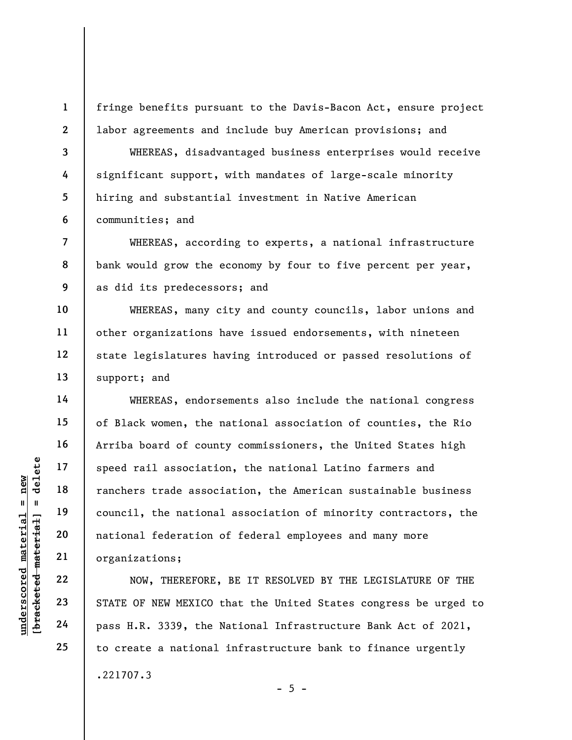fringe benefits pursuant to the Davis-Bacon Act, ensure project labor agreements and include buy American provisions; and

WHEREAS, disadvantaged business enterprises would receive significant support, with mandates of large-scale minority hiring and substantial investment in Native American communities; and

WHEREAS, according to experts, a national infrastructure bank would grow the economy by four to five percent per year, as did its predecessors; and

WHEREAS, many city and county councils, labor unions and other organizations have issued endorsements, with nineteen state legislatures having introduced or passed resolutions of support; and

under 17<br>
= 18<br>
= 18<br>
= 19<br>
= 19<br>
= 19<br>
= 19<br>
= 19<br>
= 19<br>
= 19<br>
= 19<br>
= 19<br>
= 19<br>
= 19<br>
= 19<br>
= 19<br>
= 19<br>
= 19<br>
= 19<br>
= 19<br>
= 19<br>
= 19<br>
= 19<br>
= 19<br>
= 19<br>
= 19<br>
= 19<br>
= 19<br>
= 19<br>
= 19<br>
= 19<br>
= 19<br>
= 19<br>
= 19<br>
= 19<br>
= 19<br>
= WHEREAS, endorsements also include the national congress of Black women, the national association of counties, the Rio Arriba board of county commissioners, the United States high speed rail association, the national Latino farmers and ranchers trade association, the American sustainable business council, the national association of minority contractors, the national federation of federal employees and many more organizations;

NOW, THEREFORE, BE IT RESOLVED BY THE LEGISLATURE OF THE STATE OF NEW MEXICO that the United States congress be urged to pass H.R. 3339, the National Infrastructure Bank Act of 2021, to create a national infrastructure bank to finance urgently .221707.3  $- 5 -$ 

1

2

3

4

5

6

7

8

9

10

11

12

13

14

15

16

17

18

19

20

21

22

23

24